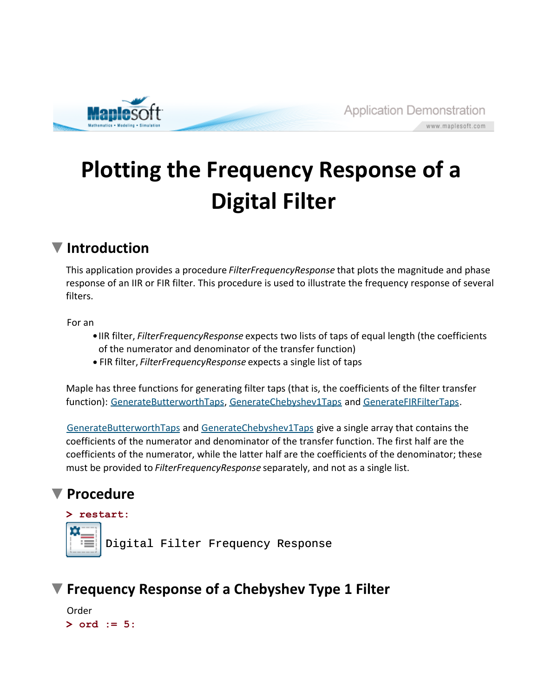

# **Plotting the Frequency Response of a Digital Filter**

# **Introduction**

This application provides a procedure *FilterFrequencyResponse* that plots the magnitude and phase response of an IIR or FIR filter. This procedure is used to illustrate the frequency response of several filters.

For an

- IIR filter, *FilterFrequencyResponse* expects two lists of taps of equal length (the coefficients of the numerator and denominator of the transfer function)
- FIR filter, *FilterFrequencyResponse* expects a single list of taps

Maple has three functions for generating filter taps (that is, the coefficients of the filter transfer function): GenerateButterworthTaps, GenerateChebyshev1Taps and GenerateFIRFilterTaps.

GenerateButterworthTaps and GenerateChebyshev1Taps give a single array that contains the coefficients of the numerator and denominator of the transfer function. The first half are the coefficients of the numerator, while the latter half are the coefficients of the denominator; these must be provided to *FilterFrequencyResponse* separately, and not as a single list.

## **Procedure**

#### **> restart:**



## **Frequency Response of a Chebyshev Type 1 Filter**

```
> 
ord := 5:Order
```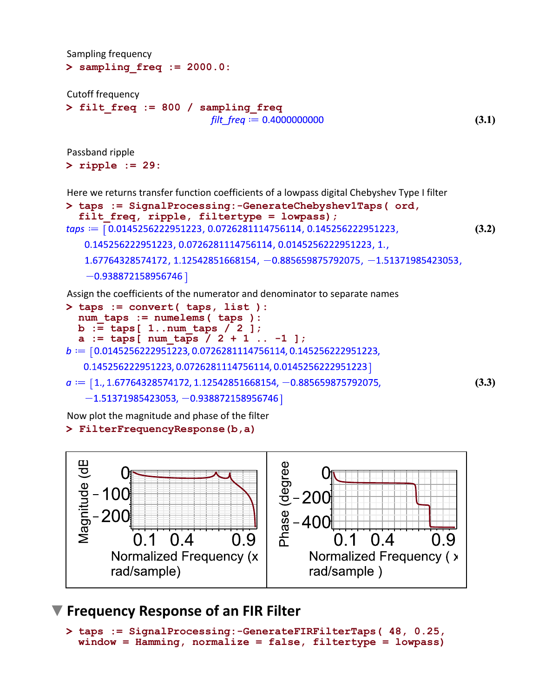Sampling frequency

```
> 
sampling_freq := 2000.0:
```
Cutoff frequency

```
> 
filt_freq := 800 / sampling_freq
                          filt freq := 0.4000000000
```
**(3.1)**

Passband ripple

**> ripple := 29:**

Here we returns transfer function coefficients of a lowpass digital Chebyshev Type I filter

```
> 
taps := SignalProcessing:-GenerateChebyshev1Taps( ord, 
  filt_freq, ripple, filtertype = lowpass);
taps := [0.0145256222951223, 0.0726281114756114, 0.145256222951223,(3.2)
   0.145256222951223, 0.0726281114756114, 0.0145256222951223, 1.,
   1.67764328574172, 1.12542851668154, -0.885659875792075, -1.51371985423053,
   -0.938872158956746
```
Assign the coefficients of the numerator and denominator to separate names

```
> 
taps := convert( taps, list ):
  num_taps := numelems( taps ):
  b := taps[ 1..num_taps / 2 ];
  a := taps[ num_taps / 2 + 1 .. -1 ];
b := [0.0145256222951223, 0.0726281114756114, 0.145256222951223,0.145256222951223, 0.0726281114756114, 0.0145256222951223]
a := [1, 1.67764328574172, 1.12542851668154, -0.885659875792075,(3.3)
   -1.51371985423053, -0.938872158956746
```
Now plot the magnitude and phase of the filter

#### **> FilterFrequencyResponse(b,a)**



### **Frequency Response of an FIR Filter**

```
> 
taps := SignalProcessing:-GenerateFIRFilterTaps( 48, 0.25, 
 window = Hamming, normalize = false, filtertype = lowpass)
```